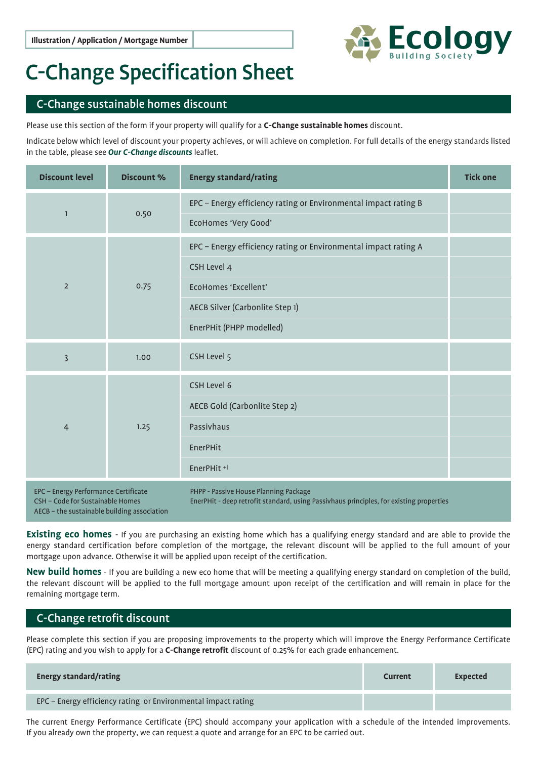

## C-Change Specification Sheet

## C-Change sustainable homes discount

Please use this section of the form if your property will qualify for a **C-Change sustainable homes** discount.

Indicate below which level of discount your property achieves, or will achieve on completion. For full details of the energy standards listed in the table, please see *Our C-Change discounts* leaflet.

| <b>Discount level</b>                                                                                                   | <b>Discount %</b> | <b>Energy standard/rating</b>                                                                                                                                         | <b>Tick one</b> |
|-------------------------------------------------------------------------------------------------------------------------|-------------------|-----------------------------------------------------------------------------------------------------------------------------------------------------------------------|-----------------|
| $\mathbf{1}$                                                                                                            | 0.50              | EPC - Energy efficiency rating or Environmental impact rating B<br><b>EcoHomes 'Very Good'</b>                                                                        |                 |
| $\overline{2}$                                                                                                          | 0.75              | EPC - Energy efficiency rating or Environmental impact rating A<br>CSH Level 4<br>EcoHomes 'Excellent'<br>AECB Silver (Carbonlite Step 1)<br>EnerPHit (PHPP modelled) |                 |
| $\overline{3}$                                                                                                          | 1.00              | CSH Level 5                                                                                                                                                           |                 |
| $\overline{4}$                                                                                                          | 1.25              | CSH Level 6<br>AECB Gold (Carbonlite Step 2)<br>Passivhaus<br><b>EnerPHit</b><br>EnerPHit <sup>+i</sup>                                                               |                 |
| EPC - Energy Performance Certificate<br>CSH - Code for Sustainable Homes<br>AECB - the sustainable building association |                   | PHPP - Passive House Planning Package<br>EnerPHit - deep retrofit standard, using Passivhaus principles, for existing properties                                      |                 |

**Existing eco homes** - If you are purchasing an existing home which has a qualifying energy standard and are able to provide the energy standard certification before completion of the mortgage, the relevant discount will be applied to the full amount of your mortgage upon advance. Otherwise it will be applied upon receipt of the certification.

**New build homes** - If you are building a new eco home that will be meeting a qualifying energy standard on completion of the build, the relevant discount will be applied to the full mortgage amount upon receipt of the certification and will remain in place for the remaining mortgage term.

## C-Change retrofit discount

Please complete this section if you are proposing improvements to the property which will improve the Energy Performance Certificate (EPC) rating and you wish to apply for a **C-Change retrofit** discount of 0.25% for each grade enhancement.

| <b>Energy standard/rating</b>                                 | Current | Expected |
|---------------------------------------------------------------|---------|----------|
|                                                               |         |          |
| EPC - Energy efficiency rating or Environmental impact rating |         |          |

The current Energy Performance Certificate (EPC) should accompany your application with a schedule of the intended improvements. If you already own the property, we can request a quote and arrange for an EPC to be carried out.